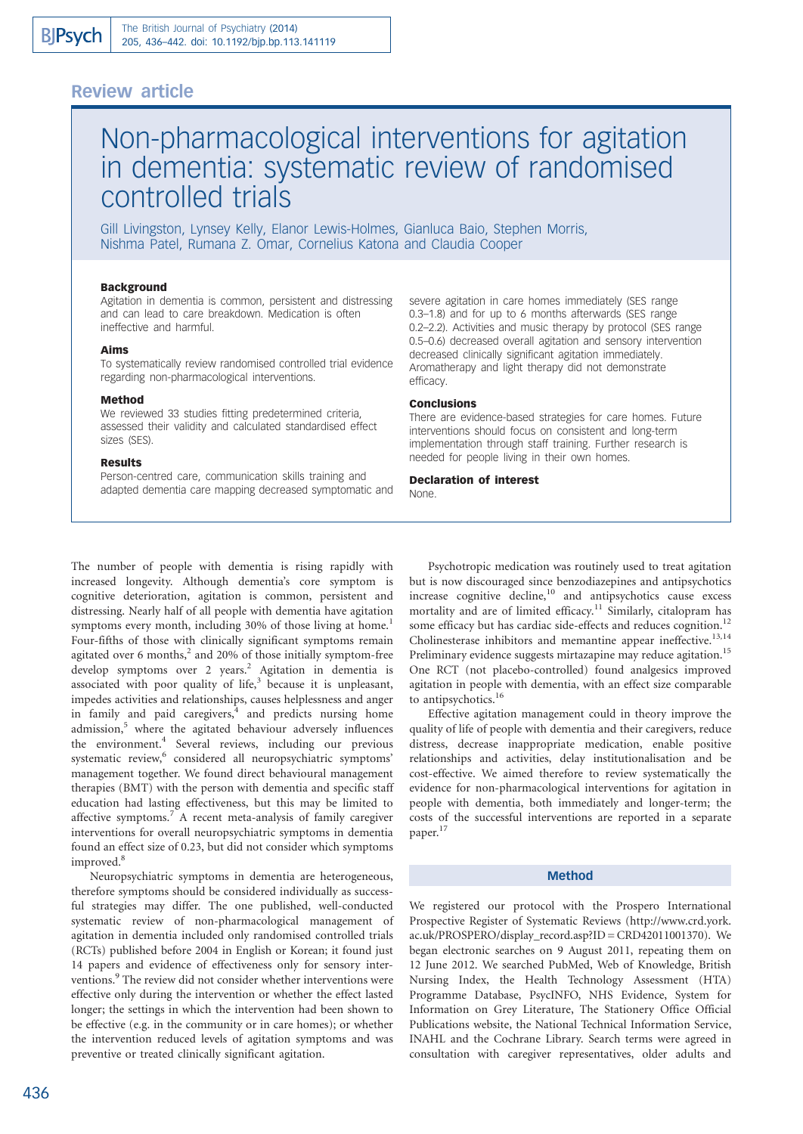# Review article

# Non-pharmacological interventions for agitation in dementia: systematic review of randomised controlled trials

Gill Livingston, Lynsey Kelly, Elanor Lewis-Holmes, Gianluca Baio, Stephen Morris, Nishma Patel, Rumana Z. Omar, Cornelius Katona and Claudia Cooper

# **Background**

Agitation in dementia is common, persistent and distressing and can lead to care breakdown. Medication is often ineffective and harmful.

#### Aims

To systematically review randomised controlled trial evidence regarding non-pharmacological interventions.

#### Method

We reviewed 33 studies fitting predetermined criteria, assessed their validity and calculated standardised effect sizes (SES).

#### Results

Person-centred care, communication skills training and adapted dementia care mapping decreased symptomatic and

The number of people with dementia is rising rapidly with increased longevity. Although dementia's core symptom is cognitive deterioration, agitation is common, persistent and distressing. Nearly half of all people with dementia have agitation symptoms every month, including 30% of those living at home.<sup>1</sup> Four-fifths of those with clinically significant symptoms remain agitated over 6 months,<sup>2</sup> and 20% of those initially symptom-free develop symptoms over 2 years.2 Agitation in dementia is associated with poor quality of life,<sup>3</sup> because it is unpleasant, impedes activities and relationships, causes helplessness and anger in family and paid caregivers, $4$  and predicts nursing home admission,<sup>5</sup> where the agitated behaviour adversely influences the environment.<sup>4</sup> Several reviews, including our previous systematic review,<sup>6</sup> considered all neuropsychiatric symptoms' management together. We found direct behavioural management therapies (BMT) with the person with dementia and specific staff education had lasting effectiveness, but this may be limited to affective symptoms.<sup>7</sup> A recent meta-analysis of family caregiver interventions for overall neuropsychiatric symptoms in dementia found an effect size of 0.23, but did not consider which symptoms improved.<sup>8</sup>

Neuropsychiatric symptoms in dementia are heterogeneous, therefore symptoms should be considered individually as successful strategies may differ. The one published, well-conducted systematic review of non-pharmacological management of agitation in dementia included only randomised controlled trials (RCTs) published before 2004 in English or Korean; it found just 14 papers and evidence of effectiveness only for sensory interventions.<sup>9</sup> The review did not consider whether interventions were effective only during the intervention or whether the effect lasted longer; the settings in which the intervention had been shown to be effective (e.g. in the community or in care homes); or whether the intervention reduced levels of agitation symptoms and was preventive or treated clinically significant agitation.

severe agitation in care homes immediately (SES range 0.3–1.8) and for up to 6 months afterwards (SES range 0.2–2.2). Activities and music therapy by protocol (SES range 0.5–0.6) decreased overall agitation and sensory intervention decreased clinically significant agitation immediately. Aromatherapy and light therapy did not demonstrate efficacy.

## Conclusions

There are evidence-based strategies for care homes. Future interventions should focus on consistent and long-term implementation through staff training. Further research is needed for people living in their own homes.

#### Declaration of interest

None.

Psychotropic medication was routinely used to treat agitation but is now discouraged since benzodiazepines and antipsychotics increase cognitive decline,<sup>10</sup> and antipsychotics cause excess mortality and are of limited efficacy.<sup>11</sup> Similarly, citalopram has some efficacy but has cardiac side-effects and reduces cognition.<sup>12</sup> Cholinesterase inhibitors and memantine appear ineffective.13,<sup>14</sup> Preliminary evidence suggests mirtazapine may reduce agitation.<sup>15</sup> One RCT (not placebo-controlled) found analgesics improved agitation in people with dementia, with an effect size comparable to antipsychotics.<sup>16</sup>

Effective agitation management could in theory improve the quality of life of people with dementia and their caregivers, reduce distress, decrease inappropriate medication, enable positive relationships and activities, delay institutionalisation and be cost-effective. We aimed therefore to review systematically the evidence for non-pharmacological interventions for agitation in people with dementia, both immediately and longer-term; the costs of the successful interventions are reported in a separate paper.<sup>17</sup>

# Method

We registered our protocol with the Prospero International Prospective Register of Systematic Reviews (http://www.crd.york. ac.uk/PROSPERO/display\_record.asp?ID = CRD42011001370). We began electronic searches on 9 August 2011, repeating them on 12 June 2012. We searched PubMed, Web of Knowledge, British Nursing Index, the Health Technology Assessment (HTA) Programme Database, PsycINFO, NHS Evidence, System for Information on Grey Literature, The Stationery Office Official Publications website, the National Technical Information Service, INAHL and the Cochrane Library. Search terms were agreed in consultation with caregiver representatives, older adults and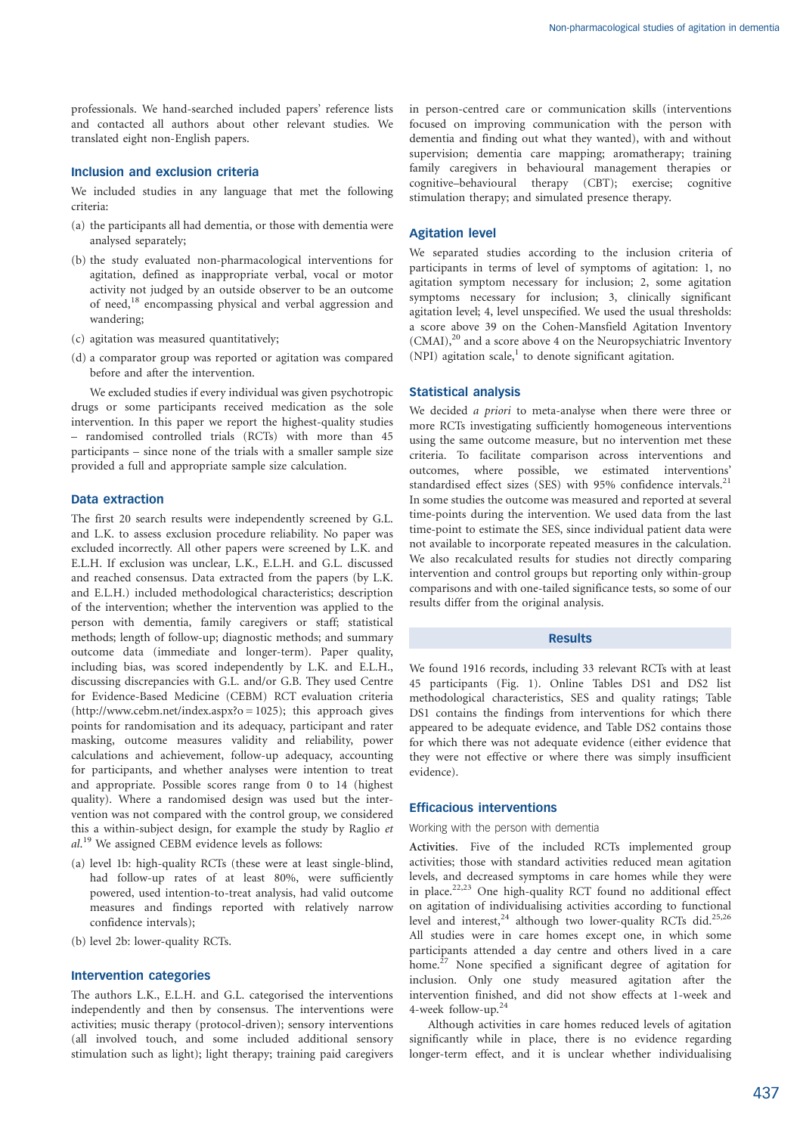professionals. We hand-searched included papers' reference lists and contacted all authors about other relevant studies. We translated eight non-English papers.

#### Inclusion and exclusion criteria

We included studies in any language that met the following criteria:

- (a) the participants all had dementia, or those with dementia were analysed separately;
- (b) the study evaluated non-pharmacological interventions for agitation, defined as inappropriate verbal, vocal or motor activity not judged by an outside observer to be an outcome of need,<sup>18</sup> encompassing physical and verbal aggression and wandering;
- (c) agitation was measured quantitatively;
- (d) a comparator group was reported or agitation was compared before and after the intervention.

We excluded studies if every individual was given psychotropic drugs or some participants received medication as the sole intervention. In this paper we report the highest-quality studies – randomised controlled trials (RCTs) with more than 45 participants – since none of the trials with a smaller sample size provided a full and appropriate sample size calculation.

# Data extraction

The first 20 search results were independently screened by G.L. and L.K. to assess exclusion procedure reliability. No paper was excluded incorrectly. All other papers were screened by L.K. and E.L.H. If exclusion was unclear, L.K., E.L.H. and G.L. discussed and reached consensus. Data extracted from the papers (by L.K. and E.L.H.) included methodological characteristics; description of the intervention; whether the intervention was applied to the person with dementia, family caregivers or staff; statistical methods; length of follow-up; diagnostic methods; and summary outcome data (immediate and longer-term). Paper quality, including bias, was scored independently by L.K. and E.L.H., discussing discrepancies with G.L. and/or G.B. They used Centre for Evidence-Based Medicine (CEBM) RCT evaluation criteria (http://www.cebm.net/index.aspx?o = 1025); this approach gives points for randomisation and its adequacy, participant and rater masking, outcome measures validity and reliability, power calculations and achievement, follow-up adequacy, accounting for participants, and whether analyses were intention to treat and appropriate. Possible scores range from 0 to 14 (highest quality). Where a randomised design was used but the intervention was not compared with the control group, we considered this a within-subject design, for example the study by Raglio et al.<sup>19</sup> We assigned CEBM evidence levels as follows:

- (a) level 1b: high-quality RCTs (these were at least single-blind, had follow-up rates of at least 80%, were sufficiently powered, used intention-to-treat analysis, had valid outcome measures and findings reported with relatively narrow confidence intervals);
- (b) level 2b: lower-quality RCTs.

# Intervention categories

The authors L.K., E.L.H. and G.L. categorised the interventions independently and then by consensus. The interventions were activities; music therapy (protocol-driven); sensory interventions (all involved touch, and some included additional sensory stimulation such as light); light therapy; training paid caregivers

in person-centred care or communication skills (interventions focused on improving communication with the person with dementia and finding out what they wanted), with and without supervision; dementia care mapping; aromatherapy; training family caregivers in behavioural management therapies or cognitive–behavioural therapy (CBT); exercise; cognitive stimulation therapy; and simulated presence therapy.

# Agitation level

We separated studies according to the inclusion criteria of participants in terms of level of symptoms of agitation: 1, no agitation symptom necessary for inclusion; 2, some agitation symptoms necessary for inclusion; 3, clinically significant agitation level; 4, level unspecified. We used the usual thresholds: a score above 39 on the Cohen-Mansfield Agitation Inventory (CMAI),<sup>20</sup> and a score above 4 on the Neuropsychiatric Inventory (NPI) agitation scale, $<sup>1</sup>$  to denote significant agitation.</sup>

# Statistical analysis

We decided a priori to meta-analyse when there were three or more RCTs investigating sufficiently homogeneous interventions using the same outcome measure, but no intervention met these criteria. To facilitate comparison across interventions and outcomes, where possible, we estimated interventions' standardised effect sizes (SES) with 95% confidence intervals.<sup>21</sup> In some studies the outcome was measured and reported at several time-points during the intervention. We used data from the last time-point to estimate the SES, since individual patient data were not available to incorporate repeated measures in the calculation. We also recalculated results for studies not directly comparing intervention and control groups but reporting only within-group comparisons and with one-tailed significance tests, so some of our results differ from the original analysis.

## **Results**

We found 1916 records, including 33 relevant RCTs with at least 45 participants (Fig. 1). Online Tables DS1 and DS2 list methodological characteristics, SES and quality ratings; Table DS1 contains the findings from interventions for which there appeared to be adequate evidence, and Table DS2 contains those for which there was not adequate evidence (either evidence that they were not effective or where there was simply insufficient evidence).

# Efficacious interventions

Working with the person with dementia

Activities. Five of the included RCTs implemented group activities; those with standard activities reduced mean agitation levels, and decreased symptoms in care homes while they were in place.22,23 One high-quality RCT found no additional effect on agitation of individualising activities according to functional level and interest,  $24$  although two lower-quality RCTs did.<sup>25,26</sup> All studies were in care homes except one, in which some participants attended a day centre and others lived in a care home. $27$  None specified a significant degree of agitation for inclusion. Only one study measured agitation after the intervention finished, and did not show effects at 1-week and 4-week follow-up.<sup>24</sup>

Although activities in care homes reduced levels of agitation significantly while in place, there is no evidence regarding longer-term effect, and it is unclear whether individualising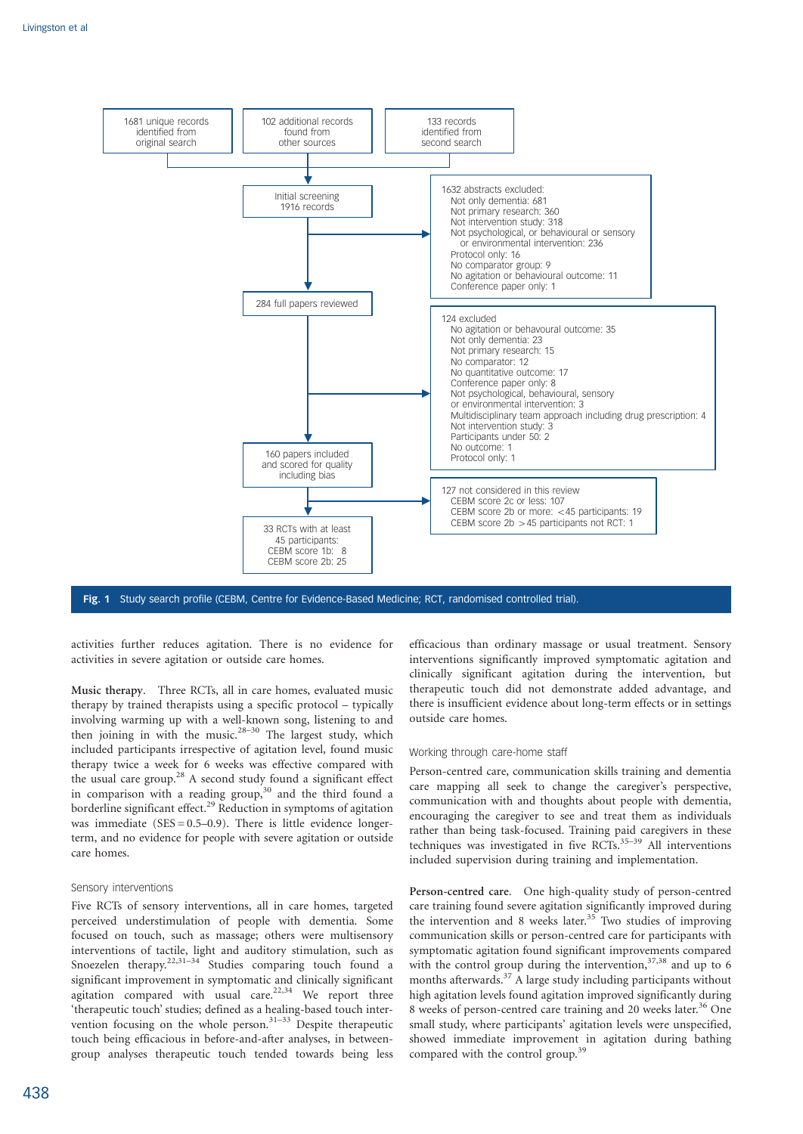

Fig. 1 Study search profile (CEBM, Centre for Evidence-Based Medicine; RCT, randomised controlled trial).

activities further reduces agitation. There is no evidence for activities in severe agitation or outside care homes.

Music therapy. Three RCTs, all in care homes, evaluated music therapy by trained therapists using a specific protocol – typically involving warming up with a well-known song, listening to and then joining in with the music.<sup>28-30</sup> The largest study, which included participants irrespective of agitation level, found music therapy twice a week for 6 weeks was effective compared with the usual care group.<sup>28</sup> A second study found a significant effect in comparison with a reading group,<sup>30</sup> and the third found a borderline significant effect.<sup>29</sup> Reduction in symptoms of agitation was immediate (SES = 0.5–0.9). There is little evidence longerterm, and no evidence for people with severe agitation or outside care homes.

#### Sensory interventions

Five RCTs of sensory interventions, all in care homes, targeted perceived understimulation of people with dementia. Some focused on touch, such as massage; others were multisensory interventions of tactile, light and auditory stimulation, such as Snoezelen therapy.<sup>22,31–34</sup> Studies comparing touch found a significant improvement in symptomatic and clinically significant agitation compared with usual care. $22,34$  We report three 'therapeutic touch' studies; defined as a healing-based touch intervention focusing on the whole person.<sup>31–33</sup> Despite therapeutic touch being efficacious in before-and-after analyses, in betweengroup analyses therapeutic touch tended towards being less

efficacious than ordinary massage or usual treatment. Sensory interventions significantly improved symptomatic agitation and clinically significant agitation during the intervention, but therapeutic touch did not demonstrate added advantage, and there is insufficient evidence about long-term effects or in settings outside care homes.

#### Working through care-home staff

Person-centred care, communication skills training and dementia care mapping all seek to change the caregiver's perspective, communication with and thoughts about people with dementia, encouraging the caregiver to see and treat them as individuals rather than being task-focused. Training paid caregivers in these techniques was investigated in five RCTs.<sup>35-39</sup> All interventions included supervision during training and implementation.

Person-centred care. One high-quality study of person-centred care training found severe agitation significantly improved during the intervention and 8 weeks later.<sup>35</sup> Two studies of improving communication skills or person-centred care for participants with symptomatic agitation found significant improvements compared with the control group during the intervention,<sup>37,38</sup> and up to 6 months afterwards.37 A large study including participants without high agitation levels found agitation improved significantly during 8 weeks of person-centred care training and 20 weeks later.<sup>36</sup> One small study, where participants' agitation levels were unspecified, showed immediate improvement in agitation during bathing compared with the control group.<sup>39</sup>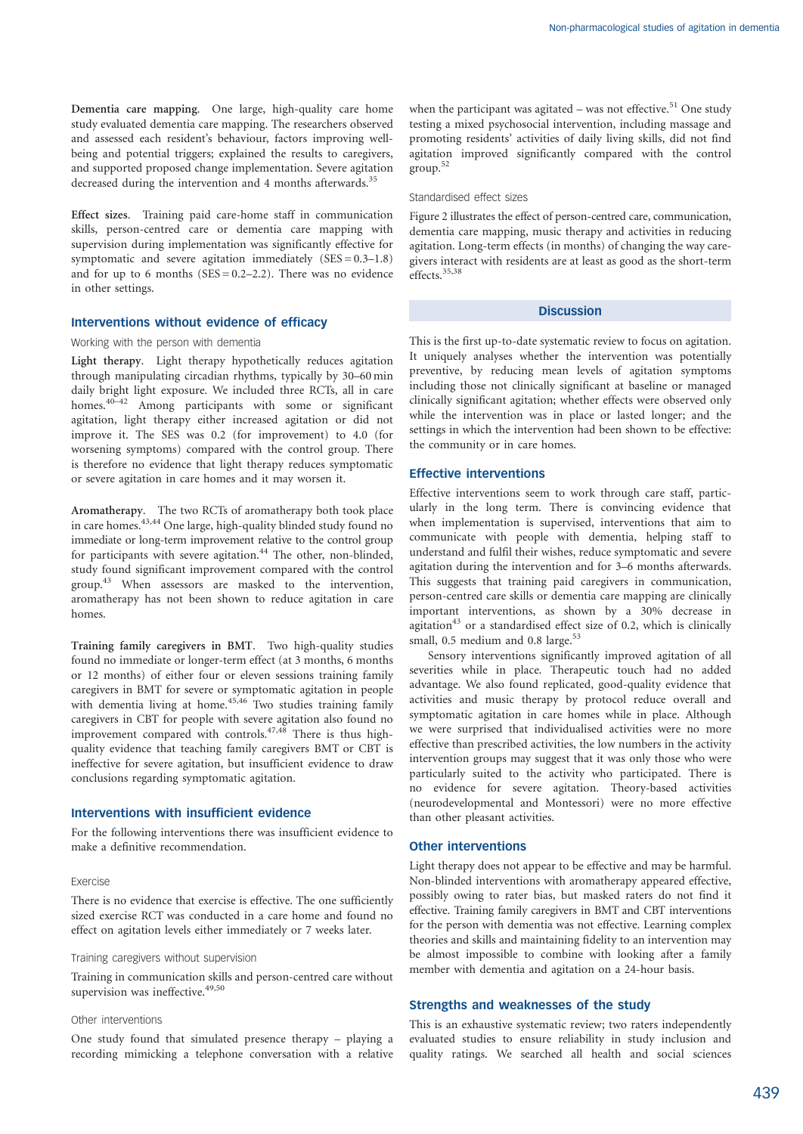Dementia care mapping. One large, high-quality care home study evaluated dementia care mapping. The researchers observed and assessed each resident's behaviour, factors improving wellbeing and potential triggers; explained the results to caregivers, and supported proposed change implementation. Severe agitation decreased during the intervention and 4 months afterwards.<sup>35</sup>

Effect sizes. Training paid care-home staff in communication skills, person-centred care or dementia care mapping with supervision during implementation was significantly effective for symptomatic and severe agitation immediately  $(SES = 0.3-1.8)$ and for up to 6 months  $(SES = 0.2 - 2.2)$ . There was no evidence in other settings.

# Interventions without evidence of efficacy

#### Working with the person with dementia

Light therapy. Light therapy hypothetically reduces agitation through manipulating circadian rhythms, typically by 30–60 min daily bright light exposure. We included three RCTs, all in care homes.<sup>40–42</sup> Among participants with some or significant agitation, light therapy either increased agitation or did not improve it. The SES was 0.2 (for improvement) to 4.0 (for worsening symptoms) compared with the control group. There is therefore no evidence that light therapy reduces symptomatic or severe agitation in care homes and it may worsen it.

Aromatherapy. The two RCTs of aromatherapy both took place in care homes.43,44 One large, high-quality blinded study found no immediate or long-term improvement relative to the control group for participants with severe agitation.<sup>44</sup> The other, non-blinded, study found significant improvement compared with the control group.43 When assessors are masked to the intervention, aromatherapy has not been shown to reduce agitation in care homes.

Training family caregivers in BMT. Two high-quality studies found no immediate or longer-term effect (at 3 months, 6 months or 12 months) of either four or eleven sessions training family caregivers in BMT for severe or symptomatic agitation in people with dementia living at home.<sup>45,46</sup> Two studies training family caregivers in CBT for people with severe agitation also found no improvement compared with controls. $47,48$  There is thus highquality evidence that teaching family caregivers BMT or CBT is ineffective for severe agitation, but insufficient evidence to draw conclusions regarding symptomatic agitation.

#### Interventions with insufficient evidence

For the following interventions there was insufficient evidence to make a definitive recommendation.

#### Exercise

There is no evidence that exercise is effective. The one sufficiently sized exercise RCT was conducted in a care home and found no effect on agitation levels either immediately or 7 weeks later.

#### Training caregivers without supervision

Training in communication skills and person-centred care without supervision was ineffective.<sup>49,50</sup>

#### Other interventions

One study found that simulated presence therapy – playing a recording mimicking a telephone conversation with a relative when the participant was agitated – was not effective.<sup>51</sup> One study testing a mixed psychosocial intervention, including massage and promoting residents' activities of daily living skills, did not find agitation improved significantly compared with the control group.<sup>52</sup>

# Standardised effect sizes

Figure 2 illustrates the effect of person-centred care, communication, dementia care mapping, music therapy and activities in reducing agitation. Long-term effects (in months) of changing the way caregivers interact with residents are at least as good as the short-term effects.<sup>35,38</sup>

#### **Discussion**

This is the first up-to-date systematic review to focus on agitation. It uniquely analyses whether the intervention was potentially preventive, by reducing mean levels of agitation symptoms including those not clinically significant at baseline or managed clinically significant agitation; whether effects were observed only while the intervention was in place or lasted longer; and the settings in which the intervention had been shown to be effective: the community or in care homes.

#### Effective interventions

Effective interventions seem to work through care staff, particularly in the long term. There is convincing evidence that when implementation is supervised, interventions that aim to communicate with people with dementia, helping staff to understand and fulfil their wishes, reduce symptomatic and severe agitation during the intervention and for 3–6 months afterwards. This suggests that training paid caregivers in communication, person-centred care skills or dementia care mapping are clinically important interventions, as shown by a 30% decrease in agitation<sup>43</sup> or a standardised effect size of 0.2, which is clinically small, 0.5 medium and 0.8 large.<sup>53</sup>

Sensory interventions significantly improved agitation of all severities while in place. Therapeutic touch had no added advantage. We also found replicated, good-quality evidence that activities and music therapy by protocol reduce overall and symptomatic agitation in care homes while in place. Although we were surprised that individualised activities were no more effective than prescribed activities, the low numbers in the activity intervention groups may suggest that it was only those who were particularly suited to the activity who participated. There is no evidence for severe agitation. Theory-based activities (neurodevelopmental and Montessori) were no more effective than other pleasant activities.

# Other interventions

Light therapy does not appear to be effective and may be harmful. Non-blinded interventions with aromatherapy appeared effective, possibly owing to rater bias, but masked raters do not find it effective. Training family caregivers in BMT and CBT interventions for the person with dementia was not effective. Learning complex theories and skills and maintaining fidelity to an intervention may be almost impossible to combine with looking after a family member with dementia and agitation on a 24-hour basis.

## Strengths and weaknesses of the study

This is an exhaustive systematic review; two raters independently evaluated studies to ensure reliability in study inclusion and quality ratings. We searched all health and social sciences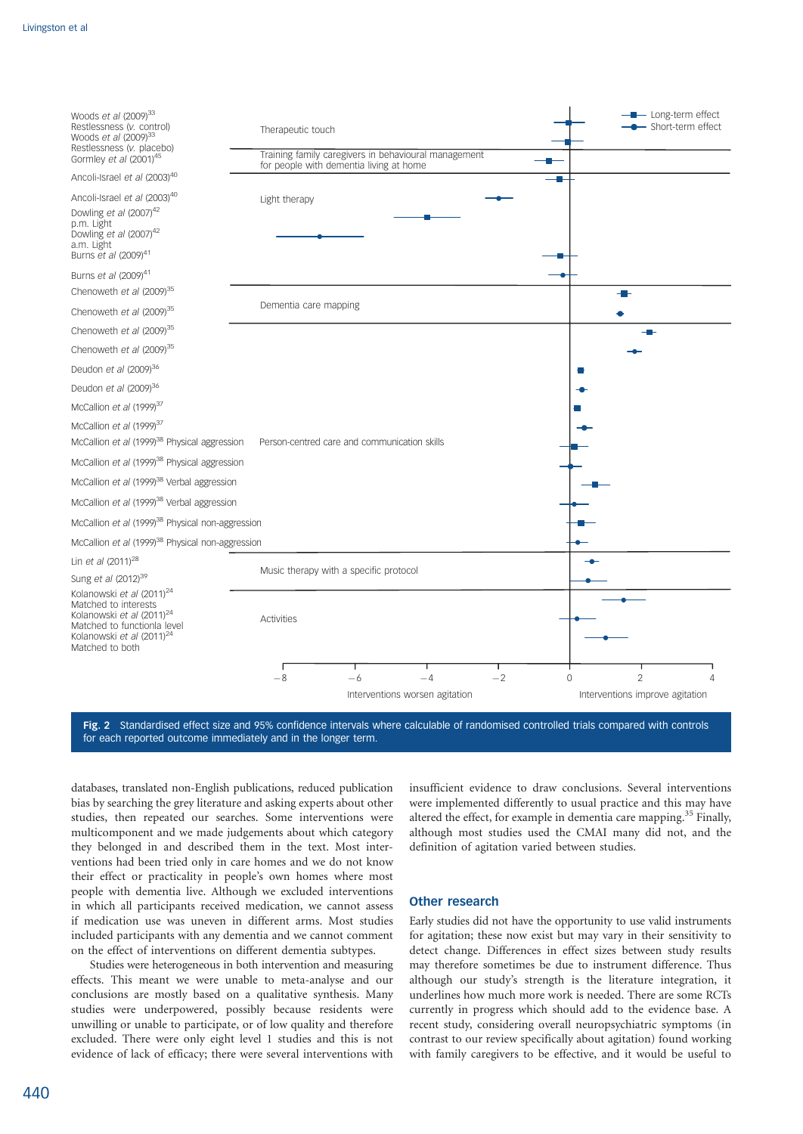

Fig. 2 Standardised effect size and 95% confidence intervals where calculable of randomised controlled trials compared with controls for each reported outcome immediately and in the longer term.

databases, translated non-English publications, reduced publication bias by searching the grey literature and asking experts about other studies, then repeated our searches. Some interventions were multicomponent and we made judgements about which category they belonged in and described them in the text. Most interventions had been tried only in care homes and we do not know their effect or practicality in people's own homes where most people with dementia live. Although we excluded interventions in which all participants received medication, we cannot assess if medication use was uneven in different arms. Most studies included participants with any dementia and we cannot comment on the effect of interventions on different dementia subtypes.

Studies were heterogeneous in both intervention and measuring effects. This meant we were unable to meta-analyse and our conclusions are mostly based on a qualitative synthesis. Many studies were underpowered, possibly because residents were unwilling or unable to participate, or of low quality and therefore excluded. There were only eight level 1 studies and this is not evidence of lack of efficacy; there were several interventions with

insufficient evidence to draw conclusions. Several interventions were implemented differently to usual practice and this may have altered the effect, for example in dementia care mapping.<sup>35</sup> Finally, although most studies used the CMAI many did not, and the definition of agitation varied between studies.

# Other research

Early studies did not have the opportunity to use valid instruments for agitation; these now exist but may vary in their sensitivity to detect change. Differences in effect sizes between study results may therefore sometimes be due to instrument difference. Thus although our study's strength is the literature integration, it underlines how much more work is needed. There are some RCTs currently in progress which should add to the evidence base. A recent study, considering overall neuropsychiatric symptoms (in contrast to our review specifically about agitation) found working with family caregivers to be effective, and it would be useful to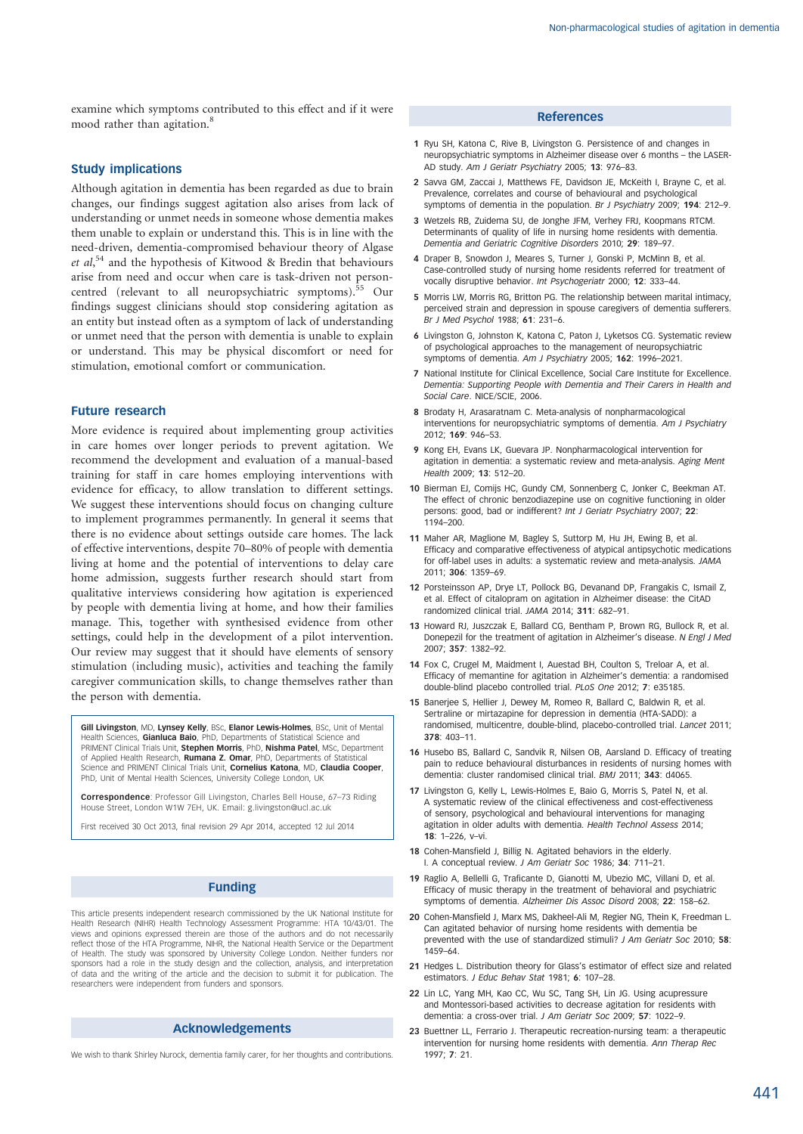examine which symptoms contributed to this effect and if it were mood rather than agitation.<sup>8</sup>

# Study implications

Although agitation in dementia has been regarded as due to brain changes, our findings suggest agitation also arises from lack of understanding or unmet needs in someone whose dementia makes them unable to explain or understand this. This is in line with the need-driven, dementia-compromised behaviour theory of Algase et al,<sup>54</sup> and the hypothesis of Kitwood & Bredin that behaviours arise from need and occur when care is task-driven not personcentred (relevant to all neuropsychiatric symptoms).<sup>55</sup> Our findings suggest clinicians should stop considering agitation as an entity but instead often as a symptom of lack of understanding or unmet need that the person with dementia is unable to explain or understand. This may be physical discomfort or need for stimulation, emotional comfort or communication.

# Future research

More evidence is required about implementing group activities in care homes over longer periods to prevent agitation. We recommend the development and evaluation of a manual-based training for staff in care homes employing interventions with evidence for efficacy, to allow translation to different settings. We suggest these interventions should focus on changing culture to implement programmes permanently. In general it seems that there is no evidence about settings outside care homes. The lack of effective interventions, despite 70–80% of people with dementia living at home and the potential of interventions to delay care home admission, suggests further research should start from qualitative interviews considering how agitation is experienced by people with dementia living at home, and how their families manage. This, together with synthesised evidence from other settings, could help in the development of a pilot intervention. Our review may suggest that it should have elements of sensory stimulation (including music), activities and teaching the family caregiver communication skills, to change themselves rather than the person with dementia.

Gill Livingston, MD, Lynsey Kelly, BSc, Elanor Lewis-Holmes, BSc, Unit of Mental Health Sciences, **Gianluca Baio**, PhD, Departments of Statistical Science and PRIMENT Clinical Trials Unit, Stephen Morris, PhD, Nishma Patel, MSc, Department of Applied Health Research, **Rumana Z. Omar**, PhD, Departments of Statistical Science and PRIMENT Clinical Trials Unit, Cornelius Katona, MD, Claudia Cooper, PhD, Unit of Mental Health Sciences, University College London, UK

Correspondence: Professor Gill Livingston, Charles Bell House, 67–73 Riding House Street, London W1W 7EH, UK. Email: g.livingston@ucl.ac.uk

First received 30 Oct 2013, final revision 29 Apr 2014, accepted 12 Jul 2014

# Funding

This article presents independent research commissioned by the UK National Institute for Health Research (NIHR) Health Technology Assessment Programme: HTA 10/43/01. The views and opinions expressed therein are those of the authors and do not necessarily reflect those of the HTA Programme, NIHR, the National Health Service or the Department of Health. The study was sponsored by University College London. Neither funders nor sponsors had a role in the study design and the collection, analysis, and interpretation of data and the writing of the article and the decision to submit it for publication. The researchers were independent from funders and sponsors.

#### Acknowledgements

We wish to thank Shirley Nurock, dementia family carer, for her thoughts and contributions.

#### References

- 1 Ryu SH, Katona C, Rive B, Livingston G. Persistence of and changes in neuropsychiatric symptoms in Alzheimer disease over 6 months – the LASER-AD study. Am J Geriatr Psychiatry 2005; 13: 976–83.
- 2 Savva GM, Zaccai J, Matthews FE, Davidson JE, McKeith J, Brayne C, et al. Prevalence, correlates and course of behavioural and psychological symptoms of dementia in the population. Br J Psychiatry 2009; **194**: 212–9.
- 3 Wetzels RB, Zuidema SU, de Jonghe JFM, Verhey FRJ, Koopmans RTCM. Determinants of quality of life in nursing home residents with dementia. Dementia and Geriatric Cognitive Disorders 2010; 29: 189–97.
- 4 Draper B, Snowdon J, Meares S, Turner J, Gonski P, McMinn B, et al. Case-controlled study of nursing home residents referred for treatment of vocally disruptive behavior. Int Psychogeriatr 2000; 12: 333–44.
- 5 Morris LW, Morris RG, Britton PG. The relationship between marital intimacy, perceived strain and depression in spouse caregivers of dementia sufferers. Br J Med Psychol 1988; 61: 231–6.
- 6 Livingston G, Johnston K, Katona C, Paton J, Lyketsos CG. Systematic review of psychological approaches to the management of neuropsychiatric symptoms of dementia. Am J Psychiatry 2005; 162: 1996–2021.
- 7 National Institute for Clinical Excellence, Social Care Institute for Excellence. Dementia: Supporting People with Dementia and Their Carers in Health and Social Care. NICE/SCIE, 2006.
- 8 Brodaty H, Arasaratnam C. Meta-analysis of nonpharmacological interventions for neuropsychiatric symptoms of dementia. Am J Psychiatry 2012; 169: 946–53.
- 9 Kong EH, Evans LK, Guevara JP. Nonpharmacological intervention for agitation in dementia: a systematic review and meta-analysis. Aging Ment Health 2009; 13: 512–20.
- 10 Bierman EJ, Comijs HC, Gundy CM, Sonnenberg C, Jonker C, Beekman AT. The effect of chronic benzodiazepine use on cognitive functioning in older persons: good, bad or indifferent? Int J Geriatr Psychiatry 2007; 22: 1194–200.
- 11 Maher AR, Maglione M, Bagley S, Suttorp M, Hu JH, Ewing B, et al. Efficacy and comparative effectiveness of atypical antipsychotic medications for off-label uses in adults: a systematic review and meta-analysis. JAMA 2011; 306: 1359–69.
- 12 Porsteinsson AP, Drye LT, Pollock BG, Devanand DP, Frangakis C, Ismail Z, et al. Effect of citalopram on agitation in Alzheimer disease: the CitAD randomized clinical trial. JAMA 2014; 311: 682–91.
- 13 Howard RJ, Juszczak E, Ballard CG, Bentham P, Brown RG, Bullock R, et al. Donepezil for the treatment of agitation in Alzheimer's disease. N Engl J Med 2007; 357: 1382–92.
- 14 Fox C, Crugel M, Maidment I, Auestad BH, Coulton S, Treloar A, et al. Efficacy of memantine for agitation in Alzheimer's dementia: a randomised double-blind placebo controlled trial. PLoS One 2012; 7: e35185.
- 15 Banerjee S, Hellier J, Dewey M, Romeo R, Ballard C, Baldwin R, et al. Sertraline or mirtazapine for depression in dementia (HTA-SADD): a randomised, multicentre, double-blind, placebo-controlled trial. Lancet 2011; 378: 403–11.
- 16 Husebo BS, Ballard C, Sandvik R, Nilsen OB, Aarsland D. Efficacy of treating pain to reduce behavioural disturbances in residents of nursing homes with dementia: cluster randomised clinical trial. BMJ 2011; 343: d4065.
- 17 Livingston G, Kelly L, Lewis-Holmes E, Baio G, Morris S, Patel N, et al. A systematic review of the clinical effectiveness and cost-effectiveness of sensory, psychological and behavioural interventions for managing agitation in older adults with dementia. Health Technol Assess 2014; 18: 1–226, v–vi.
- 18 Cohen-Mansfield J, Billig N. Agitated behaviors in the elderly. I. A conceptual review. J Am Geriatr Soc 1986; 34: 711–21.
- 19 Raglio A, Bellelli G, Traficante D, Gianotti M, Ubezio MC, Villani D, et al. Efficacy of music therapy in the treatment of behavioral and psychiatric symptoms of dementia. Alzheimer Dis Assoc Disord 2008; 22: 158–62.
- 20 Cohen-Mansfield J, Marx MS, Dakheel-Ali M, Regier NG, Thein K, Freedman L. Can agitated behavior of nursing home residents with dementia be prevented with the use of standardized stimuli? J Am Geriatr Soc 2010; 58: 1459–64.
- 21 Hedges L. Distribution theory for Glass's estimator of effect size and related estimators. J Educ Behav Stat 1981; 6: 107–28.
- 22 Lin LC, Yang MH, Kao CC, Wu SC, Tang SH, Lin JG. Using acupressure and Montessori-based activities to decrease agitation for residents with dementia: a cross-over trial. J Am Geriatr Soc 2009; 57: 1022–9.
- 23 Buettner LL, Ferrario J. Therapeutic recreation-nursing team: a therapeutic intervention for nursing home residents with dementia. Ann Therap Rec 1997; 7: 21.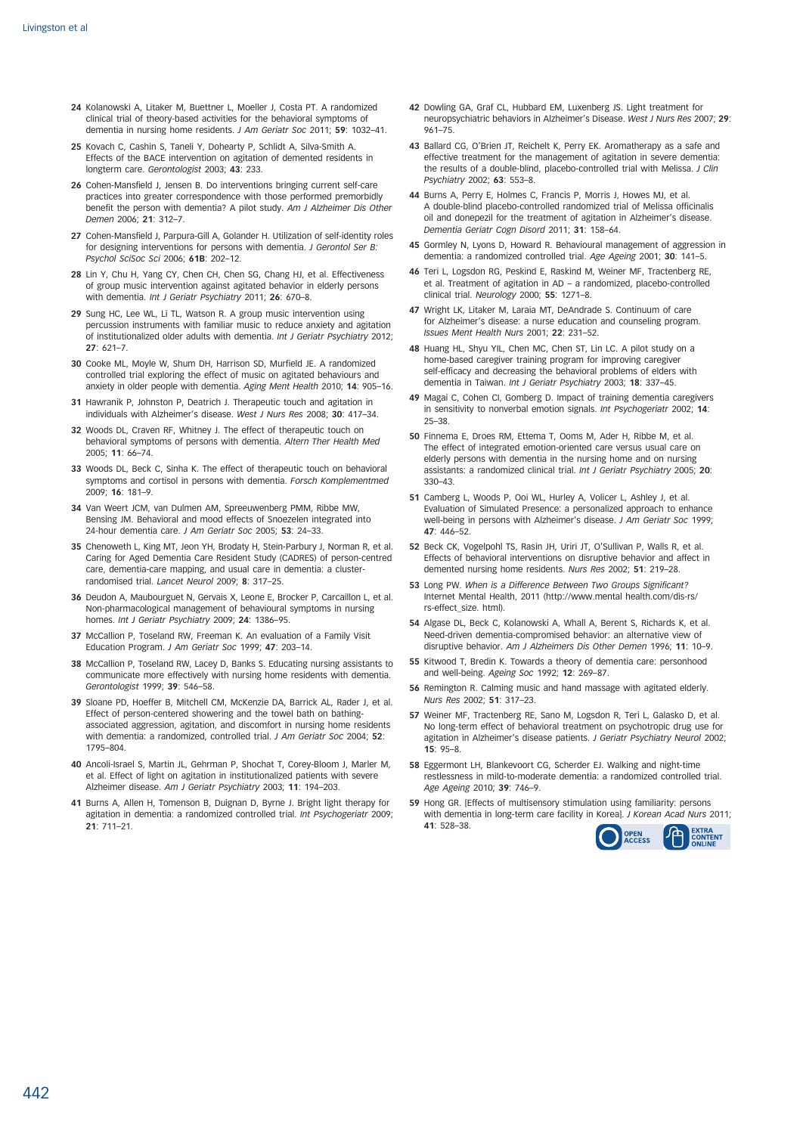- 24 Kolanowski A, Litaker M, Buettner L, Moeller J, Costa PT. A randomized clinical trial of theory-based activities for the behavioral symptoms of dementia in nursing home residents. J Am Geriatr Soc 2011; 59: 1032–41.
- 25 Kovach C, Cashin S, Taneli Y, Dohearty P, Schlidt A, Silva-Smith A. Effects of the BACE intervention on agitation of demented residents in longterm care. Gerontologist 2003; 43: 233.
- 26 Cohen-Mansfield J, Jensen B. Do interventions bringing current self-care practices into greater correspondence with those performed premorbidly benefit the person with dementia? A pilot study. Am J Alzheimer Dis Other Demen 2006; 21: 312–7.
- 27 Cohen-Mansfield J. Parpura-Gill A. Golander H. Utilization of self-identity roles for designing interventions for persons with dementia. J Gerontol Ser B: Psychol SciSoc Sci 2006; 61B: 202–12.
- 28 Lin Y, Chu H, Yang CY, Chen CH, Chen SG, Chang HJ, et al. Effectiveness of group music intervention against agitated behavior in elderly persons with dementia. Int J Geriatr Psychiatry 2011; 26: 670-8.
- 29 Sung HC, Lee WL, Li TL, Watson R. A group music intervention using percussion instruments with familiar music to reduce anxiety and agitation of institutionalized older adults with dementia. Int J Geriatr Psychiatry 2012; 27: 621–7.
- 30 Cooke ML, Moyle W, Shum DH, Harrison SD, Murfield JE. A randomized controlled trial exploring the effect of music on agitated behaviours and anxiety in older people with dementia. Aging Ment Health 2010; 14: 905–16.
- 31 Hawranik P, Johnston P, Deatrich J. Therapeutic touch and agitation in individuals with Alzheimer's disease. West J Nurs Res 2008; 30: 417–34.
- 32 Woods DL, Craven RF, Whitney J. The effect of therapeutic touch on behavioral symptoms of persons with dementia. Altern Ther Health Med 2005; 11: 66–74.
- 33 Woods DL, Beck C, Sinha K. The effect of therapeutic touch on behavioral symptoms and cortisol in persons with dementia. Forsch Komplementmed  $2009$ ; 16: 181-9
- 34 Van Weert JCM, van Dulmen AM, Spreeuwenberg PMM, Ribbe MW, Bensing JM. Behavioral and mood effects of Snoezelen integrated into 24-hour dementia care. J Am Geriatr Soc 2005; 53: 24–33.
- 35 Chenoweth L, King MT, Jeon YH, Brodaty H, Stein-Parbury J, Norman R, et al. Caring for Aged Dementia Care Resident Study (CADRES) of person-centred care, dementia-care mapping, and usual care in dementia: a clusterrandomised trial. Lancet Neurol 2009; 8: 317–25.
- 36 Deudon A, Maubourguet N, Gervais X, Leone E, Brocker P, Carcaillon L, et al. Non-pharmacological management of behavioural symptoms in nursing homes. Int J Geriatr Psychiatry 2009; 24: 1386-95.
- 37 McCallion P, Toseland RW, Freeman K, An evaluation of a Family Visit Education Program. J Am Geriatr Soc 1999; 47: 203–14.
- 38 McCallion P, Toseland RW, Lacey D, Banks S. Educating nursing assistants to communicate more effectively with nursing home residents with dementia. Gerontologist 1999; 39: 546–58.
- 39 Sloane PD, Hoeffer B, Mitchell CM, McKenzie DA, Barrick AL, Rader J, et al. Effect of person-centered showering and the towel bath on bathingassociated aggression, agitation, and discomfort in nursing home residents with dementia: a randomized, controlled trial. J Am Geriatr Soc 2004; 52: 1795–804.
- 40 Ancoli-Israel S, Martin JL, Gehrman P, Shochat T, Corey-Bloom J, Marler M, et al. Effect of light on agitation in institutionalized patients with severe Alzheimer disease. Am J Geriatr Psychiatry 2003; 11: 194–203.
- 41 Burns A, Allen H, Tomenson B, Duignan D, Byrne J. Bright light therapy for agitation in dementia: a randomized controlled trial. Int Psychogeriatr 2009; 21: 711–21.
- 42 Dowling GA, Graf CL, Hubbard EM, Luxenberg JS. Light treatment for neuropsychiatric behaviors in Alzheimer's Disease. West J Nurs Res 2007; 29: 961–75.
- 43 Ballard CG, O'Brien JT, Reichelt K, Perry EK. Aromatherapy as a safe and effective treatment for the management of agitation in severe dementia: the results of a double-blind, placebo-controlled trial with Melissa. J Clin Psychiatry 2002; 63: 553–8.
- 44 Burns A, Perry E, Holmes C, Francis P, Morris J, Howes MJ, et al. A double-blind placebo-controlled randomized trial of Melissa officinalis oil and donepezil for the treatment of agitation in Alzheimer's disease. Dementia Geriatr Cogn Disord 2011; 31: 158–64.
- 45 Gormley N, Lyons D, Howard R. Behavioural management of aggression in dementia: a randomized controlled trial. Age Ageing 2001; 30: 141-5.
- 46 Teri L, Logsdon RG, Peskind E, Raskind M, Weiner MF, Tractenberg RE, et al. Treatment of agitation in AD – a randomized, placebo-controlled clinical trial. Neurology 2000; 55: 1271-8.
- 47 Wright LK, Litaker M, Laraia MT, DeAndrade S. Continuum of care for Alzheimer's disease: a nurse education and counseling program. Issues Ment Health Nurs 2001; 22: 231–52.
- 48 Huang HL, Shyu YIL, Chen MC, Chen ST, Lin LC. A pilot study on a home-based caregiver training program for improving caregiver self-efficacy and decreasing the behavioral problems of elders with dementia in Taiwan. Int J Geriatr Psychiatry 2003; 18: 337–45.
- 49 Magai C, Cohen CI, Gomberg D. Impact of training dementia caregivers in sensitivity to nonverbal emotion signals. Int Psychogeriatr 2002; 14: 25–38.
- 50 Finnema E, Droes RM, Ettema T, Ooms M, Ader H, Ribbe M, et al. The effect of integrated emotion-oriented care versus usual care on elderly persons with dementia in the nursing home and on nursing assistants: a randomized clinical trial. Int J Geriatr Psychiatry 2005; 20: 330–43.
- 51 Camberg L, Woods P, Ooi WL, Hurley A, Volicer L, Ashley J, et al. Evaluation of Simulated Presence: a personalized approach to enhance well-being in persons with Alzheimer's disease. J Am Geriatr Soc 1999; 47: 446–52.
- 52 Beck CK, Vogelpohl TS, Rasin JH, Uriri JT, O'Sullivan P, Walls R, et al. Effects of behavioral interventions on disruptive behavior and affect in demented nursing home residents. Nurs Res 2002; 51: 219–28.
- 53 Long PW. When is a Difference Between Two Groups Significant? Internet Mental Health, 2011 (http://www.mental health.com/dis-rs/ rs-effect\_size. html).
- 54 Algase DL, Beck C, Kolanowski A, Whall A, Berent S, Richards K, et al. Need-driven dementia-compromised behavior: an alternative view of disruptive behavior. Am J Alzheimers Dis Other Demen 1996; 11: 10–9.
- 55 Kitwood T, Bredin K. Towards a theory of dementia care: personhood and well-being. Ageing Soc 1992; 12: 269–87.
- 56 Remington R. Calming music and hand massage with agitated elderly. Nurs Res 2002; 51: 317–23.
- 57 Weiner MF, Tractenberg RE, Sano M, Logsdon R, Teri L, Galasko D, et al. No long-term effect of behavioral treatment on psychotropic drug use for agitation in Alzheimer's disease patients. J Geriatr Psychiatry Neurol 2002;  $15:95-8$
- 58 Eggermont LH, Blankevoort CG, Scherder EJ. Walking and night-time restlessness in mild-to-moderate dementia: a randomized controlled trial. Age Ageing 2010; 39: 746–9.
- 59 Hong GR. [Effects of multisensory stimulation using familiarity: persons with dementia in long-term care facility in Koreal. J Korean Acad Nurs 2011;  $A1.528-38$

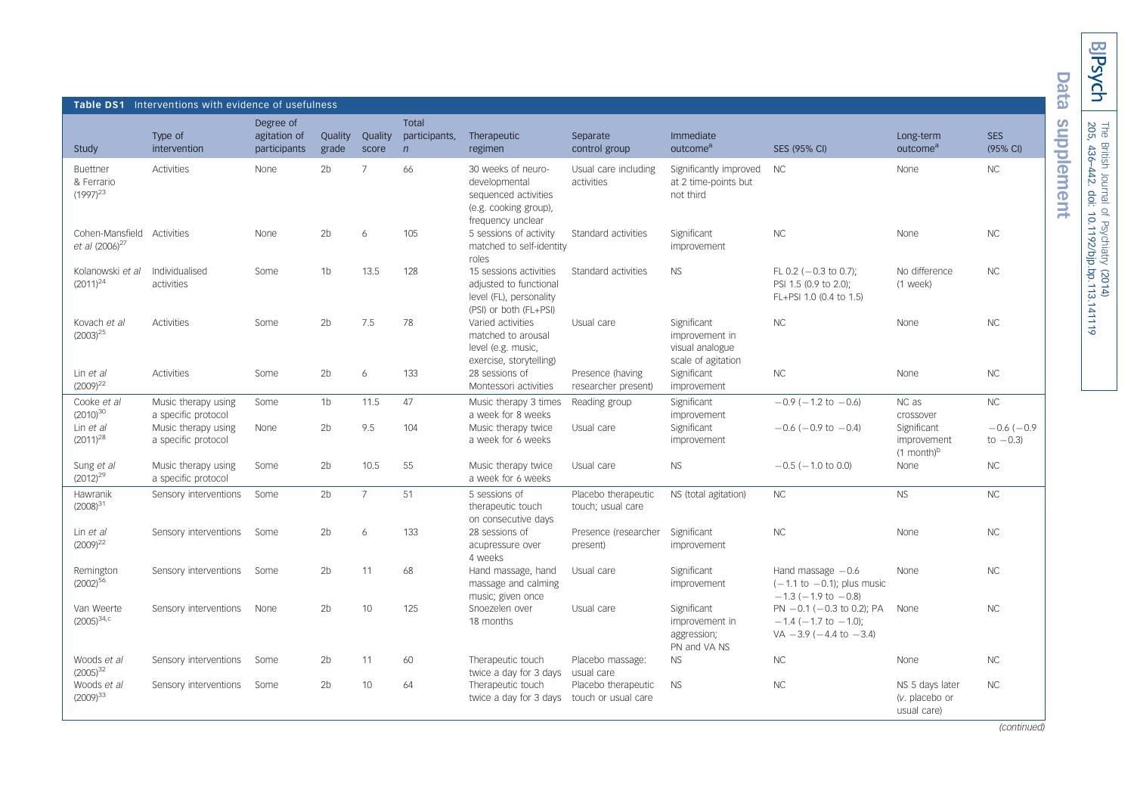| Data<br>Table DS1 Interventions with evidence of usefulness |                                            |                                           |                  |                  |                                          |                                                                                                           |                                            |                                                                        |                                                                                                  |                                                        |                             |
|-------------------------------------------------------------|--------------------------------------------|-------------------------------------------|------------------|------------------|------------------------------------------|-----------------------------------------------------------------------------------------------------------|--------------------------------------------|------------------------------------------------------------------------|--------------------------------------------------------------------------------------------------|--------------------------------------------------------|-----------------------------|
| Study                                                       | Type of<br>intervention                    | Degree of<br>agitation of<br>participants | Quality<br>grade | Quality<br>score | Total<br>participants,<br>$\overline{n}$ | Therapeutic<br>regimen                                                                                    | Separate<br>control group                  | Immediate<br>outcome <sup>a</sup>                                      | <b>SES (95% CI)</b>                                                                              | Long-term<br>outcome <sup>a</sup>                      | <b>SES</b><br>(95% CI)      |
| <b>Buettner</b><br>& Ferrario<br>$(1997)^{23}$              | Activities                                 | None                                      | 2 <sub>b</sub>   | $\overline{7}$   | 66                                       | 30 weeks of neuro-<br>developmental<br>sequenced activities<br>(e.g. cooking group),<br>frequency unclear | Usual care including<br>activities         | Significantly improved<br>at 2 time-points but<br>not third            | <b>NC</b>                                                                                        | None                                                   | NC                          |
| Cohen-Mansfield<br>et al (2006) <sup>27</sup>               | Activities                                 | None                                      | 2 <sub>b</sub>   | 6                | 105                                      | 5 sessions of activity<br>matched to self-identity<br>roles                                               | Standard activities                        | Significant<br>improvement                                             | <b>NC</b>                                                                                        | None                                                   | NC                          |
| Kolanowski et al<br>$(2011)^{24}$                           | Individualised<br>activities               | Some                                      | 1 <sub>b</sub>   | 13.5             | 128                                      | 15 sessions activities<br>adjusted to functional<br>level (FL), personality<br>(PSI) or both (FL+PSI)     | Standard activities                        | <b>NS</b>                                                              | FL 0.2 ( $-0.3$ to 0.7);<br>PSI 1.5 (0.9 to 2.0);<br>FL+PSI 1.0 (0.4 to 1.5)                     | No difference<br>(1 week)                              | NC                          |
| Kovach et al<br>$(2003)^{25}$                               | Activities                                 | Some                                      | 2 <sub>b</sub>   | 7.5              | 78                                       | Varied activities<br>matched to arousal<br>level (e.g. music,<br>exercise, storytelling)                  | Usual care                                 | Significant<br>improvement in<br>visual analogue<br>scale of agitation | <b>NC</b>                                                                                        | None                                                   | NC                          |
| Lin et al<br>$(2009)^{22}$                                  | Activities                                 | Some                                      | 2 <sub>b</sub>   | 6                | 133                                      | 28 sessions of<br>Montessori activities                                                                   | Presence (having<br>researcher present)    | Significant<br>improvement                                             | NC                                                                                               | None                                                   | NC                          |
| Cooke et al<br>$(2010)^{30}$                                | Music therapy using<br>a specific protocol | Some                                      | 1b               | 11.5             | 47                                       | Music therapy 3 times<br>a week for 8 weeks                                                               | Reading group                              | Significant<br>improvement                                             | $-0.9$ ( $-1.2$ to $-0.6$ )                                                                      | NC as<br>crossover                                     | <b>NC</b>                   |
| Lin et al<br>$(2011)^{28}$                                  | Music therapy using<br>a specific protocol | None                                      | 2 <sub>b</sub>   | 9.5              | 104                                      | Music therapy twice<br>a week for 6 weeks                                                                 | Usual care                                 | Significant<br>improvement                                             | $-0.6$ ( $-0.9$ to $-0.4$ )                                                                      | Significant<br>improvement<br>$(1$ month) <sup>b</sup> | $-0.6(-0.9)$<br>to $-0.3$ ) |
| Sung et al<br>$(2012)^{29}$                                 | Music therapy using<br>a specific protocol | Some                                      | 2 <sub>b</sub>   | 10.5             | 55                                       | Music therapy twice<br>a week for 6 weeks                                                                 | Usual care                                 | <b>NS</b>                                                              | $-0.5$ ( $-1.0$ to 0.0)                                                                          | None                                                   | NC                          |
| Hawranik<br>$(2008)^{31}$                                   | Sensory interventions                      | Some                                      | 2 <sub>b</sub>   | $\overline{7}$   | 51                                       | 5 sessions of<br>therapeutic touch<br>on consecutive days                                                 | Placebo therapeutic<br>touch; usual care   | NS (total agitation)                                                   | <b>NC</b>                                                                                        | <b>NS</b>                                              | NC                          |
| Lin et al<br>$(2009)^{22}$                                  | Sensory interventions                      | Some                                      | 2 <sub>b</sub>   | 6                | 133                                      | 28 sessions of<br>acupressure over<br>4 weeks                                                             | Presence (researcher<br>present)           | Significant<br>improvement                                             | <b>NC</b>                                                                                        | None                                                   | NC                          |
| Remington<br>$(2002)^{56}$                                  | Sensory interventions                      | Some                                      | 2b               | 11               | 68                                       | Hand massage, hand<br>massage and calming<br>music; given once                                            | Usual care                                 | Significant<br>improvement                                             | Hand massage $-0.6$<br>$(-1.1 \text{ to } -0.1)$ ; plus music<br>$-1.3$ ( $-1.9$ to $-0.8$ )     | None                                                   | NC                          |
| Van Weerte<br>$(2005)^{34,c}$                               | Sensory interventions                      | None                                      | 2 <sub>b</sub>   | 10               | 125                                      | Snoezelen over<br>18 months                                                                               | Usual care                                 | Significant<br>improvement in<br>aggression;<br>PN and VA NS           | PN $-0.1$ ( $-0.3$ to 0.2); PA<br>$-1.4$ ( $-1.7$ to $-1.0$ );<br>VA $-3.9$ ( $-4.4$ to $-3.4$ ) | None                                                   | NC                          |
| Woods et al<br>$(2005)^{32}$                                | Sensory interventions                      | Some                                      | 2 <sub>b</sub>   | 11               | 60                                       | Therapeutic touch<br>twice a day for 3 days                                                               | Placebo massage:<br>usual care             | <b>NS</b>                                                              | <b>NC</b>                                                                                        | None                                                   | NC                          |
| Woods et al<br>$(2009)^{33}$                                | Sensory interventions                      | Some                                      | 2 <sub>b</sub>   | 10               | 64                                       | Therapeutic touch<br>twice a day for 3 days                                                               | Placebo therapeutic<br>touch or usual care | <b>NS</b>                                                              | <b>NC</b>                                                                                        | NS 5 days later<br>(v. placebo or<br>usual care)       | NC                          |

The British Journal of Psychiatry The British Journal of Psychiatry (2014)<br>205, 436–442. doi: 10.1192/bjp.bp.113.141119 205, 436–442. doi: 10.1192/bjp.bp.113.141119

(continued)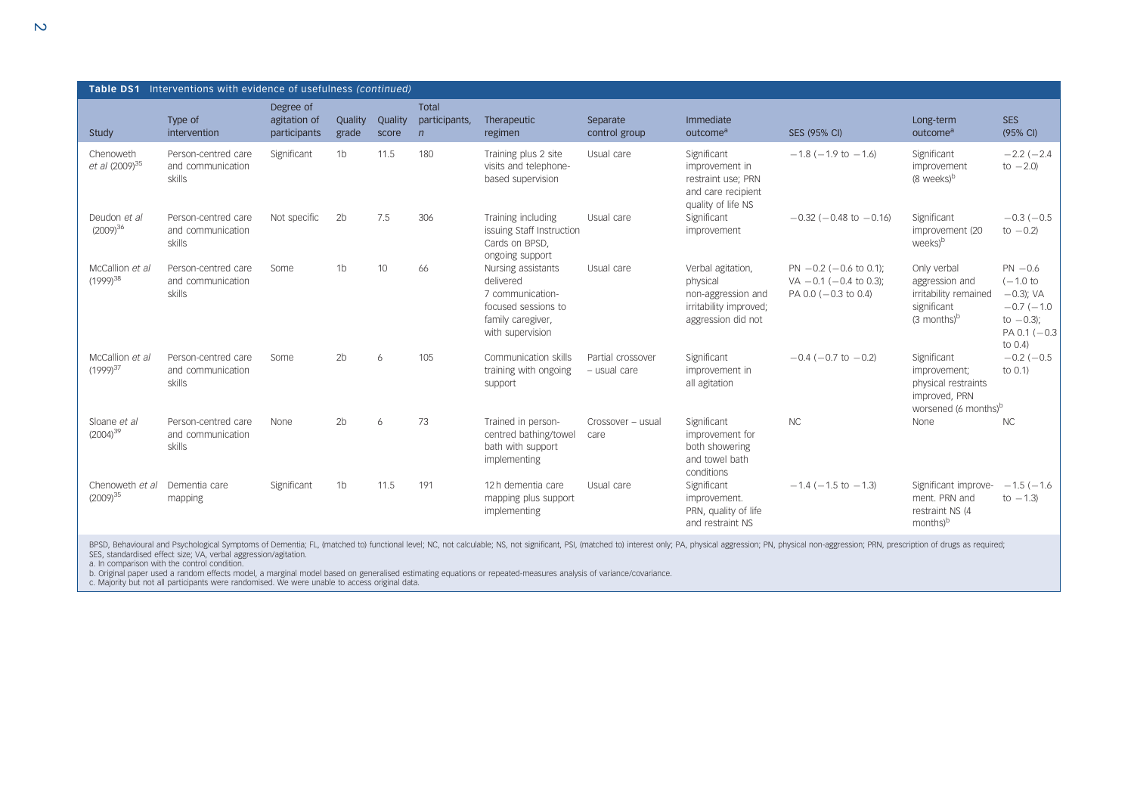|                                         | Table DS1 Interventions with evidence of usefulness (continued) |                                           |                  |                  |                                          |                                                                                                                     |                                   |                                                                                                     |                                                                                       |                                                                                                         |                                                                                                           |
|-----------------------------------------|-----------------------------------------------------------------|-------------------------------------------|------------------|------------------|------------------------------------------|---------------------------------------------------------------------------------------------------------------------|-----------------------------------|-----------------------------------------------------------------------------------------------------|---------------------------------------------------------------------------------------|---------------------------------------------------------------------------------------------------------|-----------------------------------------------------------------------------------------------------------|
| Study                                   | Type of<br>intervention                                         | Degree of<br>agitation of<br>participants | Quality<br>grade | Quality<br>score | Total<br>participants,<br>$\overline{n}$ | Therapeutic<br>regimen                                                                                              | Separate<br>control group         | Immediate<br>outcome <sup>a</sup>                                                                   | SES (95% CI)                                                                          | Long-term<br>outcome <sup>a</sup>                                                                       | <b>SES</b><br>(95% CI)                                                                                    |
| Chenoweth<br>et al (2009) <sup>35</sup> | Person-centred care<br>and communication<br>skills              | Significant                               | 1 <sub>b</sub>   | 11.5             | 180                                      | Training plus 2 site<br>visits and telephone-<br>based supervision                                                  | Usual care                        | Significant<br>improvement in<br>restraint use; PRN<br>and care recipient<br>quality of life NS     | $-1.8$ ( $-1.9$ to $-1.6$ )                                                           | Significant<br>improvement<br>(8 weeks) <sup>b</sup>                                                    | $-2.2$ ( $-2.4$ )<br>to $-2.0$ )                                                                          |
| Deudon et al<br>$(2009)^{36}$           | Person-centred care<br>and communication<br>skills              | Not specific                              | 2 <sub>b</sub>   | 7.5              | 306                                      | Training including<br>issuing Staff Instruction<br>Cards on BPSD,<br>ongoing support                                | Usual care                        | Significant<br>improvement                                                                          | $-0.32$ ( $-0.48$ to $-0.16$ )                                                        | Significant<br>improvement (20<br>weeks) <sup>b</sup>                                                   | $-0.3(-0.5)$<br>to $-0.2$ )                                                                               |
| McCallion et al<br>$(1999)^{38}$        | Person-centred care<br>and communication<br>skills              | Some                                      | 1 <sub>b</sub>   | 10               | 66                                       | Nursing assistants<br>delivered<br>7 communication-<br>focused sessions to<br>family caregiver,<br>with supervision | Usual care                        | Verbal agitation,<br>physical<br>non-aggression and<br>irritability improved;<br>aggression did not | PN $-0.2$ ( $-0.6$ to 0.1);<br>VA $-0.1$ ( $-0.4$ to 0.3);<br>PA 0.0 ( $-0.3$ to 0.4) | Only verbal<br>aggression and<br>irritability remained<br>significant<br>$(3$ months) <sup>b</sup>      | $PN -0.6$<br>$(-1.0)$<br>$-0.3$ ; VA<br>$-0.7$ ( $-1.0$ )<br>to $-0.3$ ;<br>PA 0.1 $(-0.3)$<br>to $0.4$ ) |
| McCallion et al<br>$(1999)^{37}$        | Person-centred care<br>and communication<br>skills              | Some                                      | 2 <sub>b</sub>   | 6                | 105                                      | Communication skills<br>training with ongoing<br>support                                                            | Partial crossover<br>- usual care | Significant<br>improvement in<br>all agitation                                                      | $-0.4$ ( $-0.7$ to $-0.2$ )                                                           | Significant<br>improvement:<br>physical restraints<br>improved, PRN<br>worsened (6 months) <sup>b</sup> | $-0.2$ ( $-0.5$ )<br>to $0.1$                                                                             |
| Sloane et al<br>$(2004)^{39}$           | Person-centred care<br>and communication<br>skills              | None                                      | 2 <sub>b</sub>   | 6                | 73                                       | Trained in person-<br>centred bathing/towel<br>bath with support<br>implementing                                    | Crossover - usual<br>care         | Significant<br>improvement for<br>both showering<br>and towel bath<br>conditions                    | <b>NC</b>                                                                             | None                                                                                                    | <b>NC</b>                                                                                                 |
| Chenoweth et al<br>$(2009)^{35}$        | Dementia care<br>mapping                                        | Significant                               | 1 <sub>b</sub>   | 11.5             | 191                                      | 12 h dementia care<br>mapping plus support<br>implementing                                                          | Usual care                        | Significant<br>improvement.<br>PRN, quality of life<br>and restraint NS                             | $-1.4$ ( $-1.5$ to $-1.3$ )                                                           | Significant improve-<br>ment. PRN and<br>restraint NS (4<br>months) <sup>b</sup>                        | $-1.5$ ( $-1.6$ )<br>to $-1.3$ )                                                                          |

BPSD, Behavioural and Psychological Symptoms of Dementia; FL, (matched to) functional level; NC, not calculable; NS, not significant, PSI, (matched to) interest only; PA, physical aggression; PN, physical non-aggression; P

b. Original paper used a random effects model, a marginal model based on generalised estimating equations or repeated-measures analysis of variance/covariance.<br>c. Majority but not all participants were randomised. We were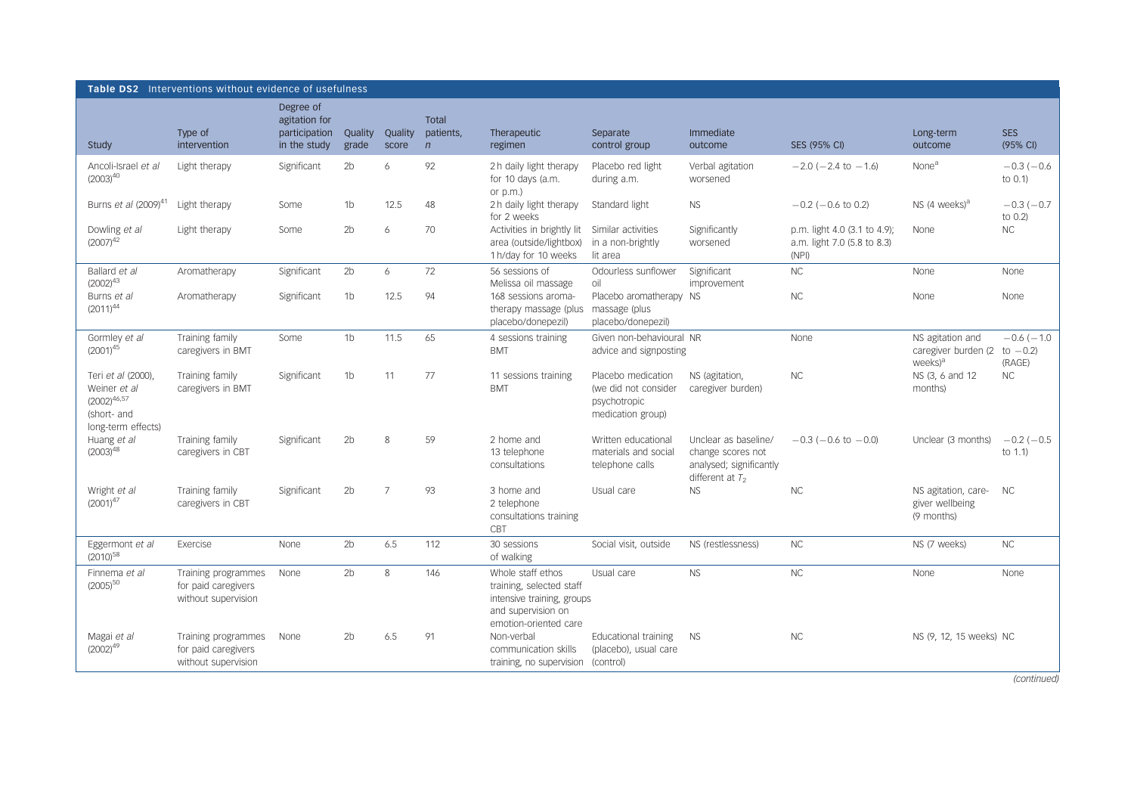| Degree of<br>agitation for<br><b>Total</b><br>Quality<br>Quality<br><b>SES</b><br>participation<br>patients,<br>Therapeutic<br>Immediate<br>Type of<br>Separate<br>Long-term<br>intervention<br>in the study<br>grade<br>outcome<br>SES (95% CI)<br>Study<br>score<br>$\overline{n}$<br>regimen<br>control group<br>outcome<br>2 <sub>b</sub><br>92<br>Ancoli-Israel et al<br>Light therapy<br>Significant<br>6<br>2h daily light therapy<br>Placebo red light<br>Verbal agitation<br>$-2.0$ ( $-2.4$ to $-1.6$ )<br>None <sup>a</sup><br>$(2003)^{40}$<br>for 10 days (a.m.<br>worsened<br>to $0.1$ )<br>during a.m.<br>or $p.m.$ )<br>Burns et al (2009) <sup>41</sup><br>Light therapy<br>1 <sub>b</sub><br>12.5<br>48<br>2h daily light therapy<br>Standard light<br><b>NS</b><br>NS (4 weeks) <sup>a</sup><br>Some<br>$-0.2$ ( $-0.6$ to 0.2)<br>to $0.2$ )<br>for 2 weeks<br>2 <sub>b</sub><br>70<br>NC<br>Dowling et al<br>6<br>Similar activities<br>Significantly<br>Light therapy<br>Some<br>Activities in brightly lit<br>p.m. light 4.0 (3.1 to 4.9);<br>None<br>$(2007)^{42}$<br>area (outside/lightbox)<br>in a non-brightly<br>a.m. light 7.0 (5.8 to 8.3)<br>worsened<br>1 h/day for 10 weeks<br>(NPI)<br>lit area<br>Significant<br>Ballard et al<br>Significant<br>2 <sub>b</sub><br>72<br>56 sessions of<br>Odourless sunflower<br><b>NC</b><br>Aromatherapy<br>6<br>None<br>None<br>$(2002)^{43}$<br>Melissa oil massage<br>oil<br>improvement<br>94<br>1 <sub>b</sub><br>12.5<br>Placebo aromatherapy NS<br>NC<br>Burns et al<br>Significant<br>168 sessions aroma-<br>None<br>None<br>Aromatherapy<br>$(2011)^{44}$<br>therapy massage (plus massage (plus<br>placebo/donepezil)<br>placebo/donepezil)<br>Training family<br>1b<br>11.5<br>65<br>Given non-behavioural NR<br>NS agitation and<br>Gormley et al<br>Some<br>4 sessions training<br>None<br>$(2001)^{45}$<br>advice and signposting<br>caregiver burden (2<br>caregivers in BMT<br><b>BMT</b><br>weeks) <sup>a</sup><br>(RAGE)<br>Teri et al (2000),<br>Training family<br>1 <sub>b</sub><br>11<br>77<br>Placebo medication<br>NS (agitation,<br><b>NC</b><br>NC<br>Significant<br>11 sessions training<br>NS (3, 6 and 12<br><b>BMT</b><br>(we did not consider<br>Weiner et al<br>caregivers in BMT<br>caregiver burden)<br>months)<br>$(2002)^{46,57}$<br>psychotropic<br>(short- and<br>medication group)<br>long-term effects)<br>2 <sub>b</sub><br>8<br>59<br>Huang et al<br>Training family<br>2 home and<br>Written educational<br>Unclear (3 months)<br>Significant<br>Unclear as baseline/<br>$-0.3$ ( $-0.6$ to $-0.0$ ) | (95% CI)<br>$-0.3(-0.6)$         |
|------------------------------------------------------------------------------------------------------------------------------------------------------------------------------------------------------------------------------------------------------------------------------------------------------------------------------------------------------------------------------------------------------------------------------------------------------------------------------------------------------------------------------------------------------------------------------------------------------------------------------------------------------------------------------------------------------------------------------------------------------------------------------------------------------------------------------------------------------------------------------------------------------------------------------------------------------------------------------------------------------------------------------------------------------------------------------------------------------------------------------------------------------------------------------------------------------------------------------------------------------------------------------------------------------------------------------------------------------------------------------------------------------------------------------------------------------------------------------------------------------------------------------------------------------------------------------------------------------------------------------------------------------------------------------------------------------------------------------------------------------------------------------------------------------------------------------------------------------------------------------------------------------------------------------------------------------------------------------------------------------------------------------------------------------------------------------------------------------------------------------------------------------------------------------------------------------------------------------------------------------------------------------------------------------------------------------------------------------------------------------------------------------------------------------------------------------------------------------------------------------------------------------------------------------------------------------------------------------------------------|----------------------------------|
|                                                                                                                                                                                                                                                                                                                                                                                                                                                                                                                                                                                                                                                                                                                                                                                                                                                                                                                                                                                                                                                                                                                                                                                                                                                                                                                                                                                                                                                                                                                                                                                                                                                                                                                                                                                                                                                                                                                                                                                                                                                                                                                                                                                                                                                                                                                                                                                                                                                                                                                                                                                                                        |                                  |
|                                                                                                                                                                                                                                                                                                                                                                                                                                                                                                                                                                                                                                                                                                                                                                                                                                                                                                                                                                                                                                                                                                                                                                                                                                                                                                                                                                                                                                                                                                                                                                                                                                                                                                                                                                                                                                                                                                                                                                                                                                                                                                                                                                                                                                                                                                                                                                                                                                                                                                                                                                                                                        |                                  |
|                                                                                                                                                                                                                                                                                                                                                                                                                                                                                                                                                                                                                                                                                                                                                                                                                                                                                                                                                                                                                                                                                                                                                                                                                                                                                                                                                                                                                                                                                                                                                                                                                                                                                                                                                                                                                                                                                                                                                                                                                                                                                                                                                                                                                                                                                                                                                                                                                                                                                                                                                                                                                        | $-0.3(-0.7)$                     |
|                                                                                                                                                                                                                                                                                                                                                                                                                                                                                                                                                                                                                                                                                                                                                                                                                                                                                                                                                                                                                                                                                                                                                                                                                                                                                                                                                                                                                                                                                                                                                                                                                                                                                                                                                                                                                                                                                                                                                                                                                                                                                                                                                                                                                                                                                                                                                                                                                                                                                                                                                                                                                        |                                  |
|                                                                                                                                                                                                                                                                                                                                                                                                                                                                                                                                                                                                                                                                                                                                                                                                                                                                                                                                                                                                                                                                                                                                                                                                                                                                                                                                                                                                                                                                                                                                                                                                                                                                                                                                                                                                                                                                                                                                                                                                                                                                                                                                                                                                                                                                                                                                                                                                                                                                                                                                                                                                                        |                                  |
|                                                                                                                                                                                                                                                                                                                                                                                                                                                                                                                                                                                                                                                                                                                                                                                                                                                                                                                                                                                                                                                                                                                                                                                                                                                                                                                                                                                                                                                                                                                                                                                                                                                                                                                                                                                                                                                                                                                                                                                                                                                                                                                                                                                                                                                                                                                                                                                                                                                                                                                                                                                                                        |                                  |
|                                                                                                                                                                                                                                                                                                                                                                                                                                                                                                                                                                                                                                                                                                                                                                                                                                                                                                                                                                                                                                                                                                                                                                                                                                                                                                                                                                                                                                                                                                                                                                                                                                                                                                                                                                                                                                                                                                                                                                                                                                                                                                                                                                                                                                                                                                                                                                                                                                                                                                                                                                                                                        | $-0.6$ ( $-1.0$ )<br>to $-0.2$ ) |
|                                                                                                                                                                                                                                                                                                                                                                                                                                                                                                                                                                                                                                                                                                                                                                                                                                                                                                                                                                                                                                                                                                                                                                                                                                                                                                                                                                                                                                                                                                                                                                                                                                                                                                                                                                                                                                                                                                                                                                                                                                                                                                                                                                                                                                                                                                                                                                                                                                                                                                                                                                                                                        |                                  |
| $(2003)^{48}$<br>13 telephone<br>caregivers in CBT<br>materials and social<br>change scores not<br>to $1.1$ )<br>analysed; significantly<br>consultations<br>telephone calls<br>different at $T_2$                                                                                                                                                                                                                                                                                                                                                                                                                                                                                                                                                                                                                                                                                                                                                                                                                                                                                                                                                                                                                                                                                                                                                                                                                                                                                                                                                                                                                                                                                                                                                                                                                                                                                                                                                                                                                                                                                                                                                                                                                                                                                                                                                                                                                                                                                                                                                                                                                     | $-0.2$ ( $-0.5$ )                |
| 2 <sub>b</sub><br>$\overline{7}$<br>93<br>Wright et al<br>Training family<br>Significant<br>3 home and<br>Usual care<br><b>NS</b><br><b>NC</b><br>NS agitation, care-<br><b>NC</b><br>$(2001)^{47}$<br>2 telephone<br>giver wellbeing<br>caregivers in CBT<br>(9 months)<br>consultations training<br>CBT                                                                                                                                                                                                                                                                                                                                                                                                                                                                                                                                                                                                                                                                                                                                                                                                                                                                                                                                                                                                                                                                                                                                                                                                                                                                                                                                                                                                                                                                                                                                                                                                                                                                                                                                                                                                                                                                                                                                                                                                                                                                                                                                                                                                                                                                                                              |                                  |
| 2 <sub>b</sub><br>6.5<br>112<br><b>NC</b><br>NC<br>Eggermont et al<br>Exercise<br>30 sessions<br>Social visit, outside<br>NS (restlessness)<br>NS (7 weeks)<br>None<br>$(2010)^{58}$<br>of walking                                                                                                                                                                                                                                                                                                                                                                                                                                                                                                                                                                                                                                                                                                                                                                                                                                                                                                                                                                                                                                                                                                                                                                                                                                                                                                                                                                                                                                                                                                                                                                                                                                                                                                                                                                                                                                                                                                                                                                                                                                                                                                                                                                                                                                                                                                                                                                                                                     |                                  |
| 2 <sub>b</sub><br>8<br>146<br><b>NS</b><br>Training programmes<br>Whole staff ethos<br>Usual care<br><b>NC</b><br>None<br>None<br>Finnema et al<br>None<br>$(2005)^{50}$<br>for paid caregivers<br>training, selected staff<br>without supervision<br>intensive training, groups<br>and supervision on<br>emotion-oriented care                                                                                                                                                                                                                                                                                                                                                                                                                                                                                                                                                                                                                                                                                                                                                                                                                                                                                                                                                                                                                                                                                                                                                                                                                                                                                                                                                                                                                                                                                                                                                                                                                                                                                                                                                                                                                                                                                                                                                                                                                                                                                                                                                                                                                                                                                        |                                  |
| Training programmes<br>2 <sub>b</sub><br>6.5<br>91<br>Non-verbal<br>Educational training<br><b>NC</b><br>NS (9, 12, 15 weeks) NC<br>Magai et al<br>None<br><b>NS</b><br>$(2002)^{49}$<br>communication skills<br>for paid caregivers<br>(placebo), usual care<br>without supervision<br>training, no supervision (control)                                                                                                                                                                                                                                                                                                                                                                                                                                                                                                                                                                                                                                                                                                                                                                                                                                                                                                                                                                                                                                                                                                                                                                                                                                                                                                                                                                                                                                                                                                                                                                                                                                                                                                                                                                                                                                                                                                                                                                                                                                                                                                                                                                                                                                                                                             | (continued)                      |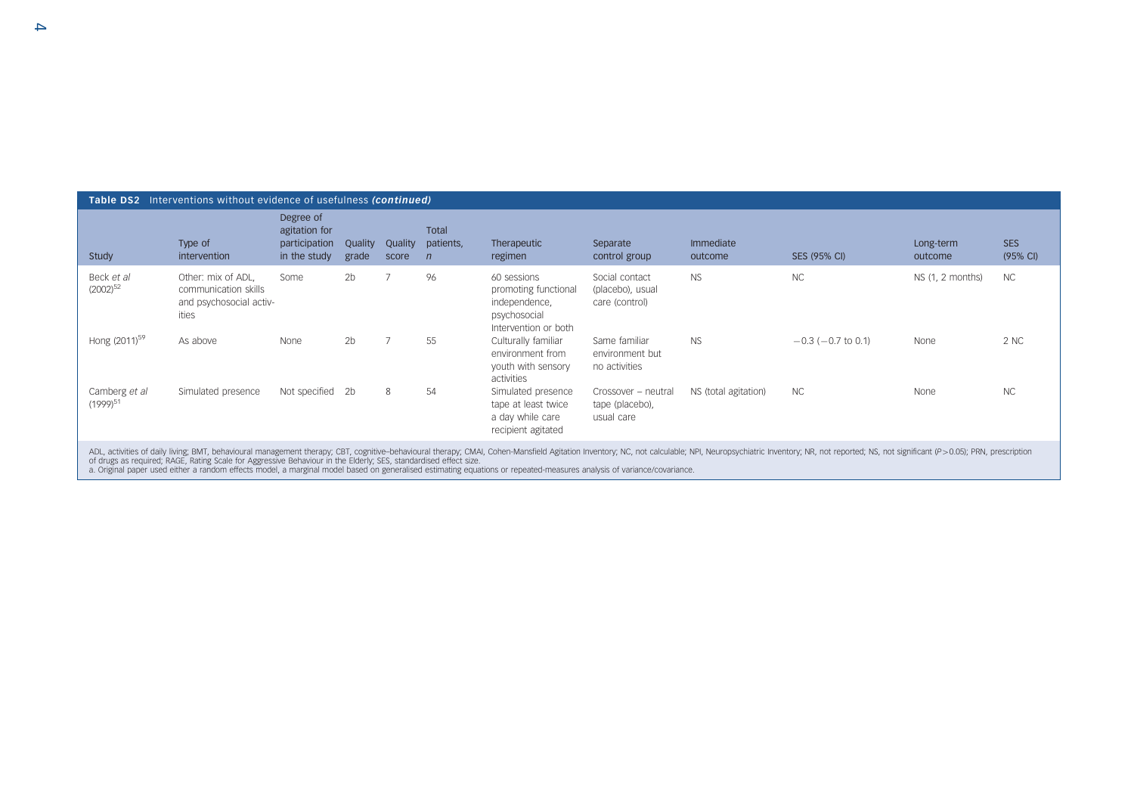|                                | <b>Table DS2</b> Interventions without evidence of usefulness (continued)      |                                                             |                  |                  |                                  |                                                                                              |                                                      |                      |                         |                      |                        |
|--------------------------------|--------------------------------------------------------------------------------|-------------------------------------------------------------|------------------|------------------|----------------------------------|----------------------------------------------------------------------------------------------|------------------------------------------------------|----------------------|-------------------------|----------------------|------------------------|
| <b>Study</b>                   | Type of<br>intervention                                                        | Degree of<br>agitation for<br>participation<br>in the study | Quality<br>grade | Quality<br>score | Total<br>patients,<br>$\sqrt{n}$ | <b>Therapeutic</b><br>regimen                                                                | Separate<br>control group                            | Immediate<br>outcome | SES (95% CI)            | Long-term<br>outcome | <b>SES</b><br>(95% CI) |
| Beck et al<br>$(2002)^{52}$    | Other: mix of ADL,<br>communication skills<br>and psychosocial activ-<br>ities | Some                                                        | 2 <sub>b</sub>   |                  | 96                               | 60 sessions<br>promoting functional<br>independence,<br>psychosocial<br>Intervention or both | Social contact<br>(placebo), usual<br>care (control) | <b>NS</b>            | <b>NC</b>               | NS (1, 2 months)     | <b>NC</b>              |
| Hong (2011) <sup>59</sup>      | As above                                                                       | None                                                        | 2 <sub>b</sub>   |                  | 55                               | Culturally familiar<br>environment from<br>youth with sensory<br>activities                  | Same familiar<br>environment but<br>no activities    | <b>NS</b>            | $-0.3$ ( $-0.7$ to 0.1) | None                 | 2 NC                   |
| Camberg et al<br>$(1999)^{51}$ | Simulated presence                                                             | Not specified 2b                                            |                  | 8                | 54                               | Simulated presence<br>tape at least twice<br>a day while care<br>recipient agitated          | Crossover - neutral<br>tape (placebo),<br>usual care | NS (total agitation) | <b>NC</b>               | None                 | <b>NC</b>              |
|                                |                                                                                |                                                             |                  |                  |                                  |                                                                                              |                                                      |                      |                         |                      |                        |

ADL, activities of daily living; BMT, behavioural management therapy; CBT, cognitive–behavioural therapy; CMAI, Cohen-Mansfield Agitation Inventory; NC, not calculable; NPI, Neuropsychiatric Inventory; NR, not reported; NS